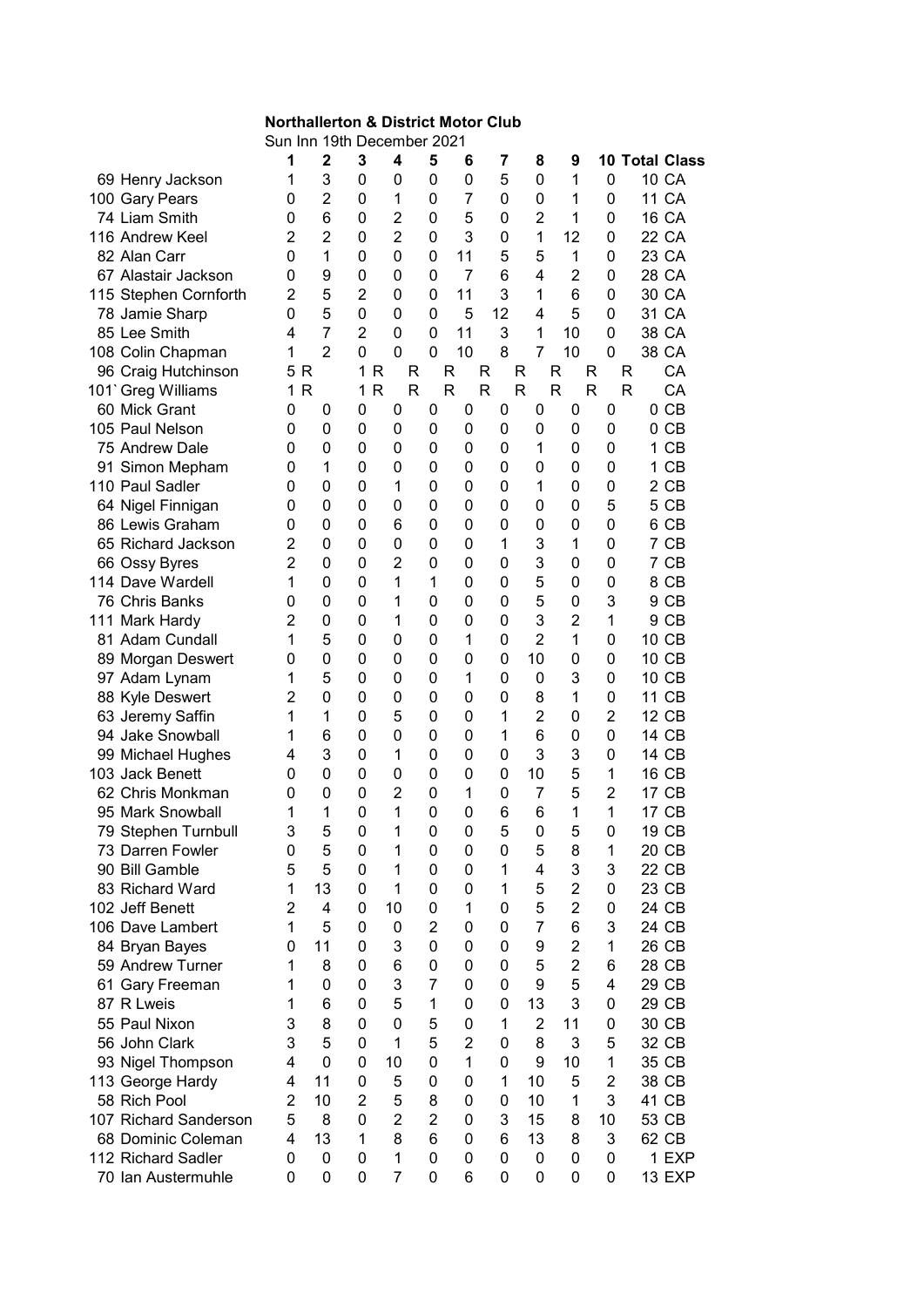## Northallerton & District Motor Club

Sun Inn 19th December 2021

|                                      | 1              | $\overline{2}$ | 3                 | 4              | 5              | 6              | 7                | 8              | 9                   | 10             |    | <b>Total Class</b> |
|--------------------------------------|----------------|----------------|-------------------|----------------|----------------|----------------|------------------|----------------|---------------------|----------------|----|--------------------|
| 69 Henry Jackson                     | 1              | 3              | 0                 | 0              | 0              | 0              | 5                | 0              | 1                   | $\mathbf 0$    |    | 10 CA              |
| 100 Gary Pears                       | 0              | $\overline{2}$ | 0                 | 1              | $\mathbf 0$    | 7              | 0                | 0              | 1                   | 0              |    | 11 CA              |
| 74 Liam Smith                        | 0              | 6              | 0                 | $\overline{2}$ | 0              | 5              | 0                | $\overline{2}$ | 1                   | 0              |    | <b>16 CA</b>       |
| 116 Andrew Keel                      | 2              | $\overline{2}$ | 0                 | $\overline{2}$ | 0              | 3              | 0                | 1              | 12                  | 0              |    | 22 CA              |
| 82 Alan Carr                         | 0              | 1              | 0                 | 0              | 0              | 11             | 5                | 5              | 1                   | 0              |    | 23 CA              |
| 67 Alastair Jackson                  | 0              | 9              | 0                 | 0              | 0              | $\overline{7}$ | 6                | 4              | $\overline{2}$      | 0              |    | 28 CA              |
| 115 Stephen Cornforth                | 2              | 5              | $\overline{2}$    | 0              | 0              | 11             | 3                | 1              | 6                   | 0              |    | 30 CA              |
| 78 Jamie Sharp                       | 0              | 5              | 0                 | 0              | 0              | 5              | 12               | 4              | 5                   | 0              |    | 31 CA              |
| 85 Lee Smith                         | 4              | $\overline{7}$ | $\overline{2}$    | 0              | 0              | 11             | 3                | 1              | 10                  | 0              |    | 38 CA              |
| 108 Colin Chapman                    | 1              | $\overline{2}$ | 0                 | 0              | 0              | 10             | 8                | 7              | 10                  | 0              |    | 38 CA              |
| 96 Craig Hutchinson                  | 5 R            |                | 1<br>R            |                | R              | R              | R                | R              | R                   | R              | R  | CA                 |
| 101' Greg Williams                   | R<br>1.        |                | $\mathsf{R}$<br>1 |                | R              | R              | R                | R              | $\mathsf{R}$        | R              | R  | CA                 |
| 60 Mick Grant                        | 0              | 0              | 0                 | 0              | 0              | 0              | 0                | 0              | 0                   | 0              |    | 0 <sub>CB</sub>    |
| 105 Paul Nelson                      | 0              | $\mathbf 0$    | 0                 | 0              | 0              | 0              | 0                | 0              | $\mathbf 0$         | 0              |    | 0 <sub>CB</sub>    |
| 75 Andrew Dale                       | 0              | $\mathbf 0$    | 0                 | 0              | 0              | 0              | 0                | 1              | 0                   | 0              | 1. | CB                 |
| 91 Simon Mepham                      | 0              | 1              | 0                 | $\mathbf 0$    | 0              | 0              | 0                | 0              | 0                   | 0              | 1. | CB                 |
| 110 Paul Sadler                      | 0              | 0              | $\mathbf{0}$      | 1              | 0              | 0              | 0                | 1              | $\mathbf 0$         | 0              |    | 2 CB               |
| 64 Nigel Finnigan                    | 0              | 0              | 0                 | 0              | 0              | 0              | 0                | 0              | 0                   | 5              |    | 5 CB               |
| 86 Lewis Graham                      | 0              | 0              | 0                 | 6              | 0              | 0              | 0                | 0              | 0                   | 0              |    | 6 CB               |
| 65 Richard Jackson                   | 2              | 0              | 0                 | 0              | 0              | 0              | 1                | 3              | 1                   | 0              |    | 7 CB               |
| 66 Ossy Byres                        | $\overline{2}$ | 0              | 0                 | $\overline{2}$ | 0              | 0              | 0                | 3              | 0                   | 0              |    | 7 CB               |
| 114 Dave Wardell                     | 1              | $\mathbf 0$    | 0                 | 1              | 1              | 0              | 0                | 5              | 0                   | 0              |    | 8 CB               |
| 76 Chris Banks                       | 0              | $\mathbf 0$    | 0                 | 1              | 0              | 0              | 0                | 5              | 0                   | 3              |    | 9 CB               |
| 111 Mark Hardy                       | 2              | 0              | 0                 | 1              | 0              | 0              | 0                | 3              | $\overline{2}$      | 1              |    | 9 CB               |
| 81 Adam Cundall                      | 1              | 5              | 0                 | 0              | 0              | 1              | 0                | $\overline{2}$ | 1                   | 0              |    | 10 CB              |
| 89 Morgan Deswert                    | 0              | 0              | 0                 | 0              | 0              | 0              | 0                | 10             | 0                   | 0              |    | 10 CB              |
| 97 Adam Lynam                        | 1              | 5              | 0                 | 0              | 0              | 1              | 0                | 0              | 3                   | 0              |    | 10 CB              |
| 88 Kyle Deswert                      | 2              | $\mathbf 0$    | 0                 | 0              | 0              | 0              | 0                | 8              | 1                   | 0              | 11 | CB                 |
|                                      | 1              | 1              | 0                 | 5              | 0              | 0              | 1                | $\overline{2}$ | 0                   | $\overline{2}$ |    | 12 CB              |
| 63 Jeremy Saffin<br>94 Jake Snowball | 1              | 6              | 0                 | $\mathbf 0$    | 0              | 0              | 1                | 6              | $\mathbf 0$         | 0              |    | 14 CB              |
|                                      | 4              | 3              | 0                 | 1              |                |                | 0                | 3              | 3                   | 0              |    | 14 CB              |
| 99 Michael Hughes<br>103 Jack Benett |                | $\overline{0}$ | 0                 | $\mathbf 0$    | 0              | 0<br>0         | 0                | 10             | 5                   |                |    | 16 CB              |
| 62 Chris Monkman                     | 0              | 0              | 0                 | $\overline{2}$ | 0              |                | 0                | 7              | 5                   | 1<br>2         |    | 17 CB              |
| 95 Mark Snowball                     | 0              |                | 0                 | 1              | 0              | 1              |                  |                | 1                   | 1              |    | 17 CB              |
|                                      | 1              | 1<br>5         |                   |                | 0              | 0              | 6                | 6              |                     |                |    |                    |
| 79 Stephen Turnbull                  | 3              |                | $\mathbf 0$       | 1              | $\mathbf 0$    | 0              | 5                | 0              | 5                   | 0              |    | 19 CB              |
| 73 Darren Fowler                     | 0              | 5              | $\mathbf 0$       | 1              | $\pmb{0}$      | $\pmb{0}$      | $\boldsymbol{0}$ | 5              | 8                   | 1              |    | 20 CB              |
| 90 Bill Gamble                       | 5              | 5              | 0                 | 1<br>1         | 0              | 0              | 1                | 4              | 3<br>$\overline{2}$ | 3              |    | 22 CB              |
| 83 Richard Ward<br>102 Jeff Benett   | 1              | 13             | $\mathbf{0}$      |                | $\mathbf 0$    | 0              | 1                | 5              |                     | 0              |    | 23 CB              |
|                                      | 2              | 4              | 0                 | 10             | 0              | 1              | 0                | 5              | $\overline{2}$      | 0              |    | 24 CB              |
| 106 Dave Lambert                     | 1              | 5              | 0                 | 0              | $\overline{2}$ | 0              | 0                | 7              | 6                   | 3              |    | 24 CB              |
| 84 Bryan Bayes                       | 0              | 11             | 0                 | 3              | 0              | 0              | 0                | 9              | $\overline{2}$      | 1              |    | 26 CB              |
| 59 Andrew Turner                     | 1              | 8              | 0                 | 6              | 0              | 0              | 0                | 5              | $\overline{2}$      | 6              |    | 28 CB              |
| 61 Gary Freeman                      | 1              | 0              | 0                 | 3              | 7              | 0              | 0                | 9              | 5                   | 4              |    | 29 CB              |
| 87 R Lweis                           | 1              | 6              | 0                 | 5              | 1              | 0              | 0                | 13             | 3                   | 0              |    | 29 CB              |
| 55 Paul Nixon                        | 3              | 8              | 0                 | $\overline{0}$ | 5              | 0              | 1                | $\overline{2}$ | 11                  | 0              |    | 30 CB              |
| 56 John Clark                        | 3              | 5              | $\mathbf{0}$      | 1              | 5              | $\overline{2}$ | 0                | 8              | 3                   | 5              |    | 32 CB              |
| 93 Nigel Thompson                    | 4              | $\overline{0}$ | 0                 | 10             | $\mathbf 0$    | 1              | 0                | 9              | 10                  | 1              |    | 35 CB              |
| 113 George Hardy                     | 4              | 11             | 0                 | 5              | 0              | 0              | 1                | 10             | 5                   | $\overline{2}$ |    | 38 CB              |
| 58 Rich Pool                         | $\overline{2}$ | 10             | $\overline{2}$    | 5              | 8              | 0              | 0                | 10             | 1                   | 3              |    | 41 CB              |
| 107 Richard Sanderson                | 5              | 8              | 0                 | $\overline{2}$ | $\overline{2}$ | 0              | 3                | 15             | 8                   | 10             |    | 53 CB              |
| 68 Dominic Coleman                   | 4              | 13             | $\mathbf 1$       | 8              | 6              | 0              | 6                | 13             | 8                   | 3              |    | 62 CB              |
| 112 Richard Sadler                   | 0              | 0              | 0                 | 1              | 0              | 0              | 0                | 0              | 0                   | 0              |    | 1 EXP              |
| 70 Ian Austermuhle                   | 0              | 0              | 0                 | $\overline{7}$ | 0              | 6              | 0                | 0              | 0                   | 0              |    | <b>13 EXP</b>      |